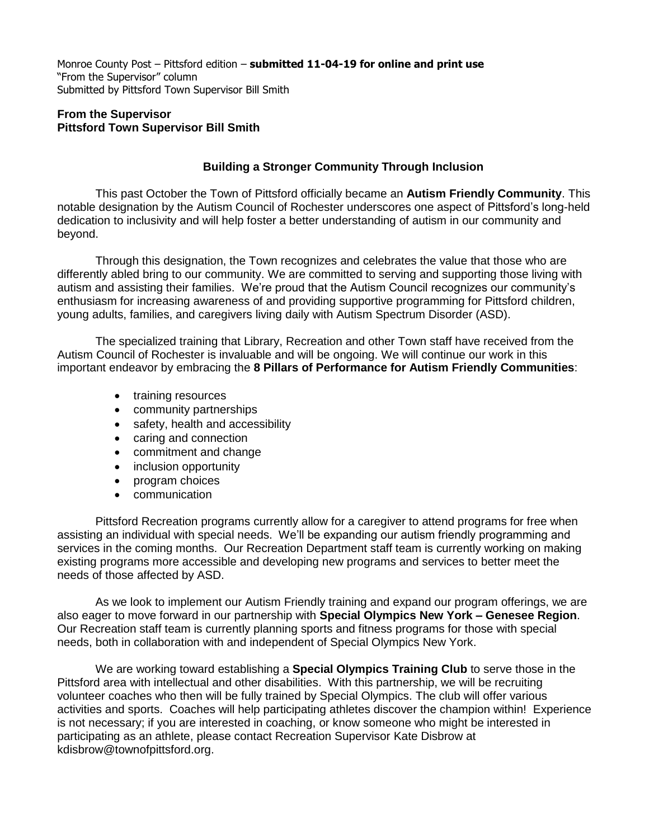Monroe County Post – Pittsford edition – **submitted 11-04-19 for online and print use** "From the Supervisor" column Submitted by Pittsford Town Supervisor Bill Smith

## **From the Supervisor Pittsford Town Supervisor Bill Smith**

## **Building a Stronger Community Through Inclusion**

This past October the Town of Pittsford officially became an **Autism Friendly Community**. This notable designation by the Autism Council of Rochester underscores one aspect of Pittsford's long-held dedication to inclusivity and will help foster a better understanding of autism in our community and beyond.

Through this designation, the Town recognizes and celebrates the value that those who are differently abled bring to our community. We are committed to serving and supporting those living with autism and assisting their families. We're proud that the Autism Council recognizes our community's enthusiasm for increasing awareness of and providing supportive programming for Pittsford children, young adults, families, and caregivers living daily with Autism Spectrum Disorder (ASD).

The specialized training that Library, Recreation and other Town staff have received from the Autism Council of Rochester is invaluable and will be ongoing. We will continue our work in this important endeavor by embracing the **8 Pillars of Performance for Autism Friendly Communities**:

- training resources
- community partnerships
- safety, health and accessibility
- caring and connection
- commitment and change
- inclusion opportunity
- program choices
- communication

Pittsford Recreation programs currently allow for a caregiver to attend programs for free when assisting an individual with special needs. We'll be expanding our autism friendly programming and services in the coming months. Our Recreation Department staff team is currently working on making existing programs more accessible and developing new programs and services to better meet the needs of those affected by ASD.

As we look to implement our Autism Friendly training and expand our program offerings, we are also eager to move forward in our partnership with **Special Olympics New York – Genesee Region**. Our Recreation staff team is currently planning sports and fitness programs for those with special needs, both in collaboration with and independent of Special Olympics New York.

We are working toward establishing a **Special Olympics Training Club** to serve those in the Pittsford area with intellectual and other disabilities. With this partnership, we will be recruiting volunteer coaches who then will be fully trained by Special Olympics. The club will offer various activities and sports. Coaches will help participating athletes discover the champion within! Experience is not necessary; if you are interested in coaching, or know someone who might be interested in participating as an athlete, please contact Recreation Supervisor Kate Disbrow at kdisbrow@townofpittsford.org.